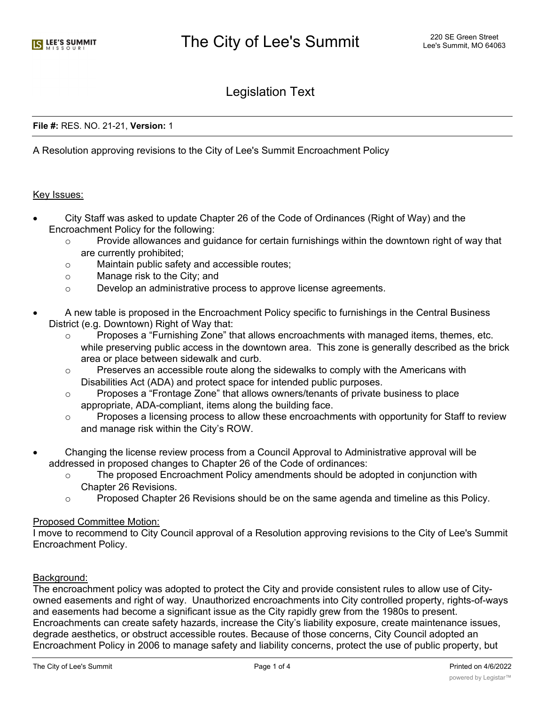# Legislation Text

### **File #:** RES. NO. 21-21, **Version:** 1

A Resolution approving revisions to the City of Lee's Summit Encroachment Policy

#### Key Issues:

- · City Staff was asked to update Chapter 26 of the Code of Ordinances (Right of Way) and the Encroachment Policy for the following:
	- $\circ$  Provide allowances and guidance for certain furnishings within the downtown right of way that are currently prohibited;
	- o Maintain public safety and accessible routes;
	- o Manage risk to the City; and
	- o Develop an administrative process to approve license agreements.
- · A new table is proposed in the Encroachment Policy specific to furnishings in the Central Business District (e.g. Downtown) Right of Way that:
	- $\circ$  Proposes a "Furnishing Zone" that allows encroachments with managed items, themes, etc. while preserving public access in the downtown area. This zone is generally described as the brick area or place between sidewalk and curb.
	- o Preserves an accessible route along the sidewalks to comply with the Americans with Disabilities Act (ADA) and protect space for intended public purposes.
	- o Proposes a "Frontage Zone" that allows owners/tenants of private business to place appropriate, ADA-compliant, items along the building face.
	- $\circ$  Proposes a licensing process to allow these encroachments with opportunity for Staff to review and manage risk within the City's ROW.
- · Changing the license review process from a Council Approval to Administrative approval will be addressed in proposed changes to Chapter 26 of the Code of ordinances:
	- o The proposed Encroachment Policy amendments should be adopted in conjunction with Chapter 26 Revisions.
	- o Proposed Chapter 26 Revisions should be on the same agenda and timeline as this Policy.

#### Proposed Committee Motion:

I move to recommend to City Council approval of a Resolution approving revisions to the City of Lee's Summit Encroachment Policy.

## Background:

The encroachment policy was adopted to protect the City and provide consistent rules to allow use of Cityowned easements and right of way. Unauthorized encroachments into City controlled property, rights-of-ways and easements had become a significant issue as the City rapidly grew from the 1980s to present. Encroachments can create safety hazards, increase the City's liability exposure, create maintenance issues, degrade aesthetics, or obstruct accessible routes. Because of those concerns, City Council adopted an Encroachment Policy in 2006 to manage safety and liability concerns, protect the use of public property, but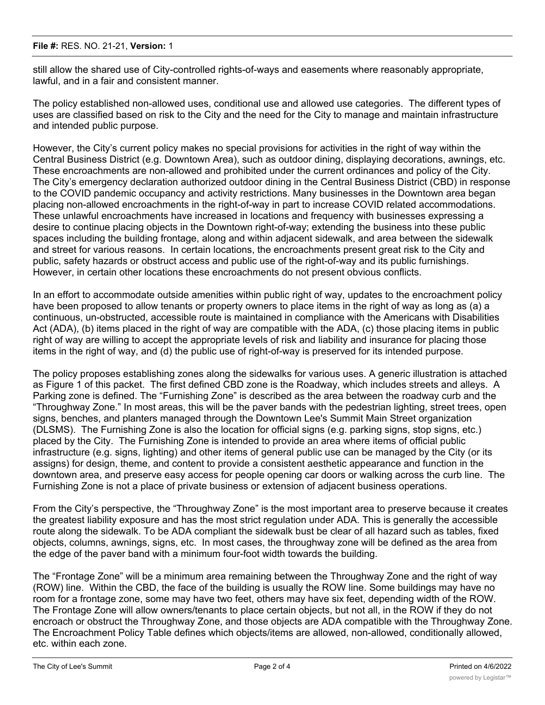still allow the shared use of City-controlled rights-of-ways and easements where reasonably appropriate, lawful, and in a fair and consistent manner.

The policy established non-allowed uses, conditional use and allowed use categories. The different types of uses are classified based on risk to the City and the need for the City to manage and maintain infrastructure and intended public purpose.

However, the City's current policy makes no special provisions for activities in the right of way within the Central Business District (e.g. Downtown Area), such as outdoor dining, displaying decorations, awnings, etc. These encroachments are non-allowed and prohibited under the current ordinances and policy of the City. The City's emergency declaration authorized outdoor dining in the Central Business District (CBD) in response to the COVID pandemic occupancy and activity restrictions. Many businesses in the Downtown area began placing non-allowed encroachments in the right-of-way in part to increase COVID related accommodations. These unlawful encroachments have increased in locations and frequency with businesses expressing a desire to continue placing objects in the Downtown right-of-way; extending the business into these public spaces including the building frontage, along and within adjacent sidewalk, and area between the sidewalk and street for various reasons. In certain locations, the encroachments present great risk to the City and public, safety hazards or obstruct access and public use of the right-of-way and its public furnishings. However, in certain other locations these encroachments do not present obvious conflicts.

In an effort to accommodate outside amenities within public right of way, updates to the encroachment policy have been proposed to allow tenants or property owners to place items in the right of way as long as (a) a continuous, un-obstructed, accessible route is maintained in compliance with the Americans with Disabilities Act (ADA), (b) items placed in the right of way are compatible with the ADA, (c) those placing items in public right of way are willing to accept the appropriate levels of risk and liability and insurance for placing those items in the right of way, and (d) the public use of right-of-way is preserved for its intended purpose.

The policy proposes establishing zones along the sidewalks for various uses. A generic illustration is attached as Figure 1 of this packet. The first defined CBD zone is the Roadway, which includes streets and alleys. A Parking zone is defined. The "Furnishing Zone" is described as the area between the roadway curb and the "Throughway Zone." In most areas, this will be the paver bands with the pedestrian lighting, street trees, open signs, benches, and planters managed through the Downtown Lee's Summit Main Street organization (DLSMS). The Furnishing Zone is also the location for official signs (e.g. parking signs, stop signs, etc.) placed by the City. The Furnishing Zone is intended to provide an area where items of official public infrastructure (e.g. signs, lighting) and other items of general public use can be managed by the City (or its assigns) for design, theme, and content to provide a consistent aesthetic appearance and function in the downtown area, and preserve easy access for people opening car doors or walking across the curb line. The Furnishing Zone is not a place of private business or extension of adjacent business operations.

From the City's perspective, the "Throughway Zone" is the most important area to preserve because it creates the greatest liability exposure and has the most strict regulation under ADA. This is generally the accessible route along the sidewalk. To be ADA compliant the sidewalk bust be clear of all hazard such as tables, fixed objects, columns, awnings, signs, etc. In most cases, the throughway zone will be defined as the area from the edge of the paver band with a minimum four-foot width towards the building.

The "Frontage Zone" will be a minimum area remaining between the Throughway Zone and the right of way (ROW) line. Within the CBD, the face of the building is usually the ROW line. Some buildings may have no room for a frontage zone, some may have two feet, others may have six feet, depending width of the ROW. The Frontage Zone will allow owners/tenants to place certain objects, but not all, in the ROW if they do not encroach or obstruct the Throughway Zone, and those objects are ADA compatible with the Throughway Zone. The Encroachment Policy Table defines which objects/items are allowed, non-allowed, conditionally allowed, etc. within each zone.